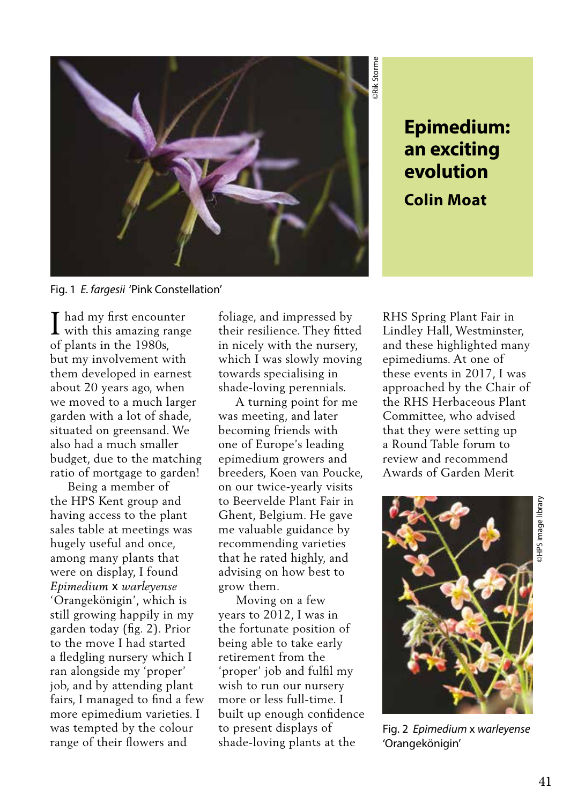

## **an exciting evolution Colin Moat**

Fig. 1 *E. fargesii* 'Pink Constellation'

I had my first encounter<br>with this amazing range with this amazing range of plants in the 1980s, but my involvement with them developed in earnest about 20 years ago, when we moved to a much larger garden with a lot of shade, situated on greensand. We also had a much smaller budget, due to the matching ratio of mortgage to garden!

 Being a member of the HPS Kent group and having access to the plant sales table at meetings was hugely useful and once, among many plants that were on display, I found *Epimedium* x *warleyense*  'Orangekönigin', which is still growing happily in my garden today (fig. 2). Prior to the move I had started a fledgling nursery which I ran alongside my 'proper' job, and by attending plant fairs, I managed to find a few more epimedium varieties. I was tempted by the colour range of their flowers and

foliage, and impressed by their resilience. They fitted in nicely with the nursery, which I was slowly moving towards specialising in shade-loving perennials.

 A turning point for me was meeting, and later becoming friends with one of Europe's leading epimedium growers and breeders, Koen van Poucke, on our twice-yearly visits to Beervelde Plant Fair in Ghent, Belgium. He gave me valuable guidance by recommending varieties that he rated highly, and advising on how best to grow them.

 Moving on a few years to 2012, I was in the fortunate position of being able to take early retirement from the 'proper' job and fulfil my wish to run our nursery more or less full-time. I built up enough confidence to present displays of shade-loving plants at the

RHS Spring Plant Fair in Lindley Hall, Westminster, and these highlighted many epimediums. At one of these events in 2017, I was approached by the Chair of the RHS Herbaceous Plant Committee, who advised that they were setting up a Round Table forum to review and recommend Awards of Garden Merit



Fig. 2 *Epimedium* x *warleyense*  'Orangekönigin'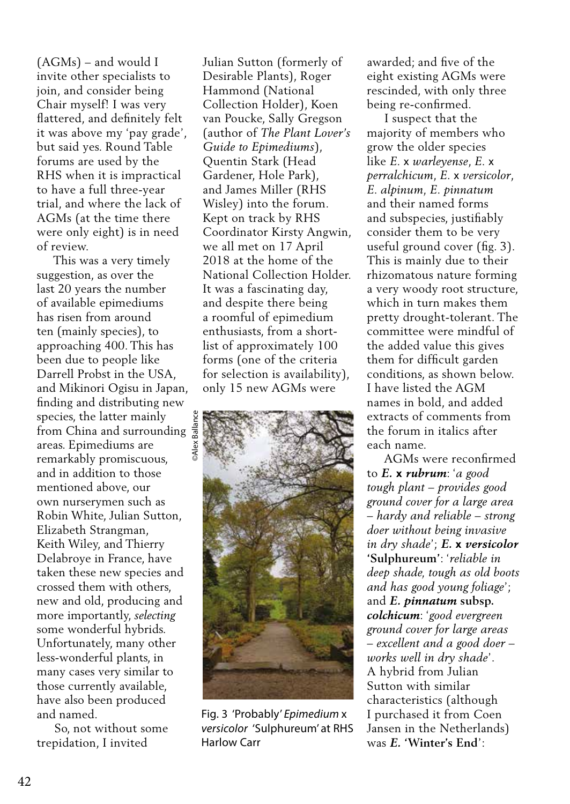(AGMs) – and would I invite other specialists to join, and consider being Chair myself! I was very flattered, and definitely felt it was above my 'pay grade', but said yes. Round Table forums are used by the RHS when it is impractical to have a full three-year trial, and where the lack of AGMs (at the time there were only eight) is in need of review.

 This was a very timely suggestion, as over the last 20 years the number of available epimediums has risen from around ten (mainly species), to approaching 400. This has been due to people like Darrell Probst in the USA, and Mikinori Ogisu in Japan, finding and distributing new species, the latter mainly from China and surrounding areas. Epimediums are remarkably promiscuous, and in addition to those mentioned above, our own nurserymen such as Robin White, Julian Sutton, Elizabeth Strangman, Keith Wiley, and Thierry Delabroye in France, have taken these new species and crossed them with others, new and old, producing and more importantly, *selecting* some wonderful hybrids. Unfortunately, many other less-wonderful plants, in many cases very similar to those currently available, have also been produced and named.

 So, not without some trepidation, I invited

Julian Sutton (formerly of Desirable Plants), Roger Hammond (National Collection Holder), Koen van Poucke, Sally Gregson (author of *The Plant Lover's Guide to Epimediums*), Quentin Stark (Head Gardener, Hole Park), and James Miller (RHS Wisley) into the forum. Kept on track by RHS Coordinator Kirsty Angwin, we all met on 17 April 2018 at the home of the National Collection Holder. It was a fascinating day, and despite there being a roomful of epimedium enthusiasts, from a shortlist of approximately 100 forms (one of the criteria for selection is availability), only 15 new AGMs were



Fig. 3 'Probably' *Epimedium* x *versicolor* 'Sulphureum' at RHS Harlow Carr

awarded; and five of the eight existing AGMs were rescinded, with only three being re-confirmed.

 I suspect that the majority of members who grow the older species like *E.* x *warleyense*, *E.* x *perralchicum*, *E.* x *versicolor*, *E. alpinum, E. pinnatum*  and their named forms and subspecies, justifiably consider them to be very useful ground cover (fig. 3). This is mainly due to their rhizomatous nature forming a very woody root structure, which in turn makes them pretty drought-tolerant. The committee were mindful of the added value this gives them for difficult garden conditions, as shown below. I have listed the AGM names in bold, and added extracts of comments from the forum in italics after each name.

 AGMs were reconfirmed to *E.* **x** *rubrum*: '*a good tough plant – provides good ground cover for a large area – hardy and reliable – strong doer without being invasive in dry shade*'; *E.* **x** *versicolor*  **'Sulphureum'**: '*reliable in deep shade, tough as old boots and has good young foliage*'; and *E. pinnatum* **subsp.** *colchicum*: '*good evergreen ground cover for large areas – excellent and a good doer – works well in dry shade*'. A hybrid from Julian Sutton with similar characteristics (although I purchased it from Coen Jansen in the Netherlands) was *E.* **'Winter's End**':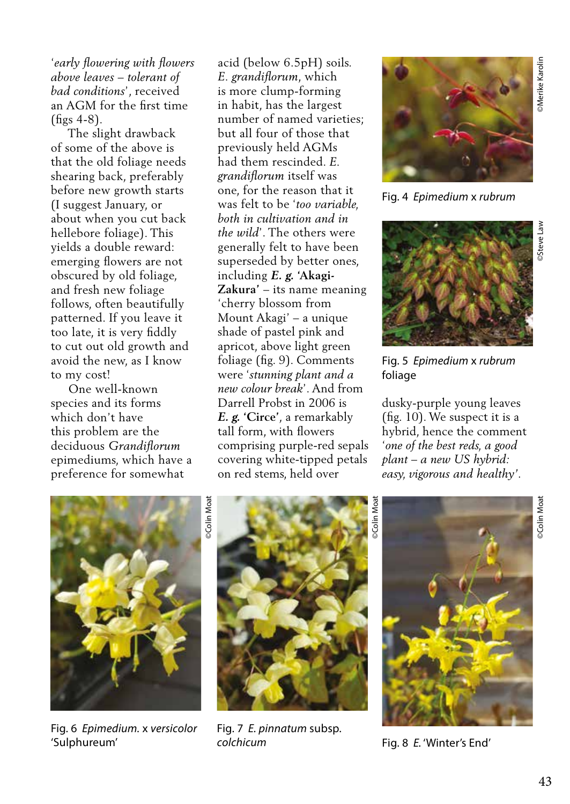'*early flowering with flowers above leaves – tolerant of bad conditions*', received an AGM for the first time  $(f$ figs 4-8).

 The slight drawback of some of the above is that the old foliage needs shearing back, preferably before new growth starts (I suggest January, or about when you cut back hellebore foliage). This yields a double reward: emerging flowers are not obscured by old foliage, and fresh new foliage follows, often beautifully patterned. If you leave it too late, it is very fiddly to cut out old growth and avoid the new, as I know to my cost!

 One well-known species and its forms which don't have this problem are the deciduous *Grandiflorum*  epimediums, which have a preference for somewhat

acid (below 6.5pH) soils. *E. grandiflorum*, which is more clump-forming in habit, has the largest number of named varieties; but all four of those that previously held AGMs had them rescinded. *E. grandiflorum* itself was one, for the reason that it was felt to be '*too variable, both in cultivation and in the wild*'. The others were generally felt to have been superseded by better ones, including *E. g.* **'Akagi-Zakura'** – its name meaning 'cherry blossom from Mount Akagi' – a unique shade of pastel pink and apricot, above light green foliage (fig. 9). Comments were '*stunning plant and a new colour break*'. And from Darrell Probst in 2006 is *E. g.* **'Circe'**, a remarkably tall form, with flowers comprising purple-red sepals covering white-tipped petals on red stems, held over



Fig. 4 *Epimedium* x *rubrum* 



Fig. 5 *Epimedium* x *rubrum*  foliage

dusky-purple young leaves (fig. 10). We suspect it is a hybrid, hence the comment '*one of the best reds, a good plant – a new US hybrid: easy, vigorous and healthy'*.



Fig. 6 *Epimedium.* x *versicolor*  'Sulphureum'

Fig. 7 *E. pinnatum* subsp. *colchicum* 



Fig. 8 *E.* 'Winter's End'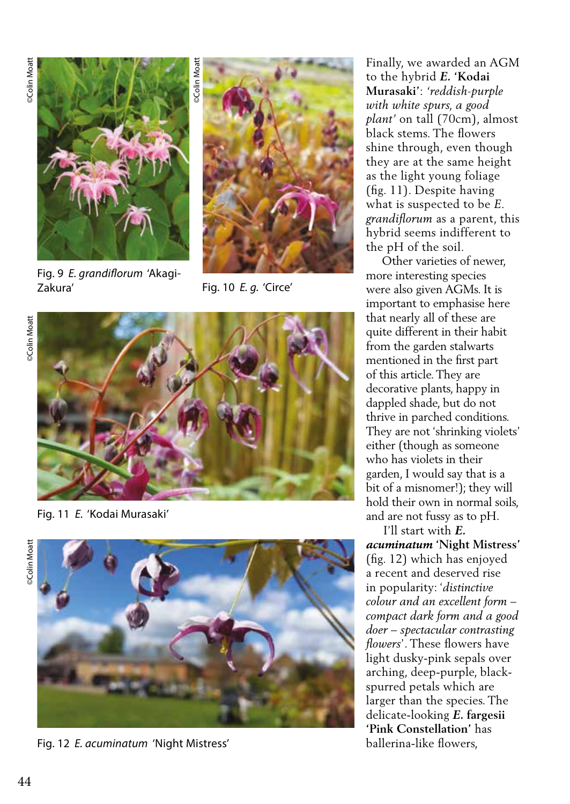

Fig. 9 *E. grandiflorum* 'Akagi-Zakura'



Fig. 10 *E. g.* 'Circe'

*<b>OColin* Moatt ©Colin Moatt



Fig. 11 *E.* 'Kodai Murasaki'



Fig. 12 *E. acuminatum* 'Night Mistress'

Finally, we awarded an AGM to the hybrid *E.* **'Kodai Murasaki'**: *'reddish-purple with white spurs, a good plant'* on tall (70cm), almost black stems. The flowers shine through, even though they are at the same height as the light young foliage (fig. 11). Despite having what is suspected to be *E. grandiflorum* as a parent, this hybrid seems indifferent to the pH of the soil.

 Other varieties of newer, more interesting species were also given AGMs. It is important to emphasise here that nearly all of these are quite different in their habit from the garden stalwarts mentioned in the first part of this article. They are decorative plants, happy in dappled shade, but do not thrive in parched conditions. They are not 'shrinking violets' either (though as someone who has violets in their garden, I would say that is a bit of a misnomer!); they will hold their own in normal soils, and are not fussy as to pH.

 I'll start with *E. acuminatum* **'Night Mistress'**  (fig. 12) which has enjoyed a recent and deserved rise in popularity: '*distinctive colour and an excellent form – compact dark form and a good doer – spectacular contrasting flowers*'. These flowers have light dusky-pink sepals over arching, deep-purple, blackspurred petals which are larger than the species. The delicate-looking *E.* **fargesii 'Pink Constellation'** has ballerina-like flowers,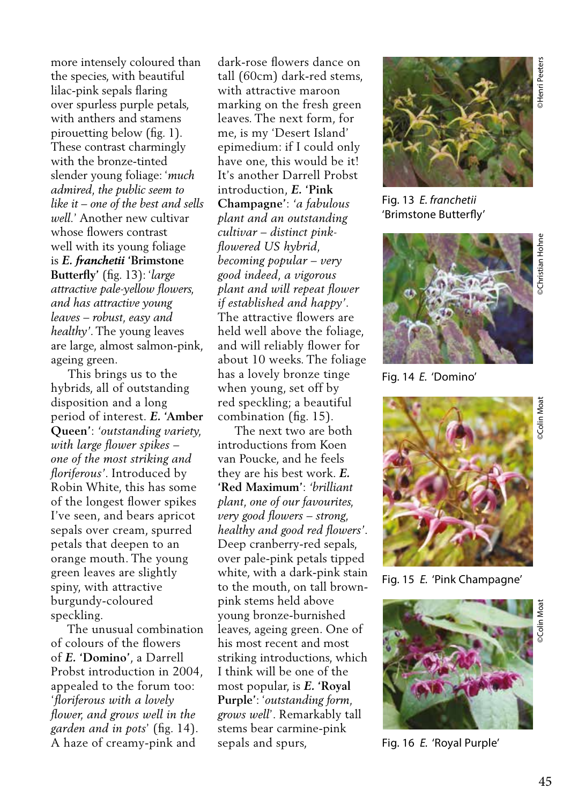more intensely coloured than the species, with beautiful lilac-pink sepals flaring over spurless purple petals, with anthers and stamens pirouetting below (fig. 1). These contrast charmingly with the bronze-tinted slender young foliage: '*much admired, the public seem to like it – one of the best and sells well.*' Another new cultivar whose flowers contrast well with its young foliage is *E. franchetii* **'Brimstone Butterfly'** (fig. 13): '*large attractive pale-yellow flowers, and has attractive young leaves – robust, easy and healthy'*. The young leaves are large, almost salmon-pink,

ageing green. This brings us to the hybrids, all of outstanding disposition and a long period of interest. *E.* **'Amber Queen'**: *'outstanding variety, with large flower spikes – one of the most striking and floriferous'*. Introduced by Robin White, this has some of the longest flower spikes I've seen, and bears apricot sepals over cream, spurred petals that deepen to an orange mouth. The young green leaves are slightly spiny, with attractive burgundy-coloured speckling.

 The unusual combination of colours of the flowers of *E.* **'Domino'**, a Darrell Probst introduction in 2004, appealed to the forum too: '*floriferous with a lovely flower, and grows well in the garden and in pots*' (fig. 14). A haze of creamy-pink and

dark-rose flowers dance on tall (60cm) dark-red stems, with attractive maroon marking on the fresh green leaves. The next form, for me, is my 'Desert Island' epimedium: if I could only have one, this would be it! It's another Darrell Probst introduction, *E.* **'Pink Champagne'**: *'a fabulous plant and an outstanding cultivar – distinct pinkflowered US hybrid, becoming popular – very good indeed, a vigorous plant and will repeat flower if established and happy'*. The attractive flowers are held well above the foliage, and will reliably flower for about 10 weeks. The foliage has a lovely bronze tinge when young, set off by red speckling; a beautiful combination (fig. 15).

 The next two are both introductions from Koen van Poucke, and he feels they are his best work. *E.*  **'Red Maximum'**: *'brilliant plant, one of our favourites, very good flowers – strong, healthy and good red flowers'*. Deep cranberry-red sepals, over pale-pink petals tipped white, with a dark-pink stain to the mouth, on tall brownpink stems held above young bronze-burnished leaves, ageing green. One of his most recent and most striking introductions, which I think will be one of the most popular, is *E.* **'Royal Purple'**: '*outstanding form, grows well*'. Remarkably tall stems bear carmine-pink sepals and spurs,



Fig. 13 *E. franchetii*  'Brimstone Butterfly'



Fig. 14 *E.* 'Domino'



Fig. 15 *E.* 'Pink Champagne'



Fig. 16 *E.* 'Royal Purple'